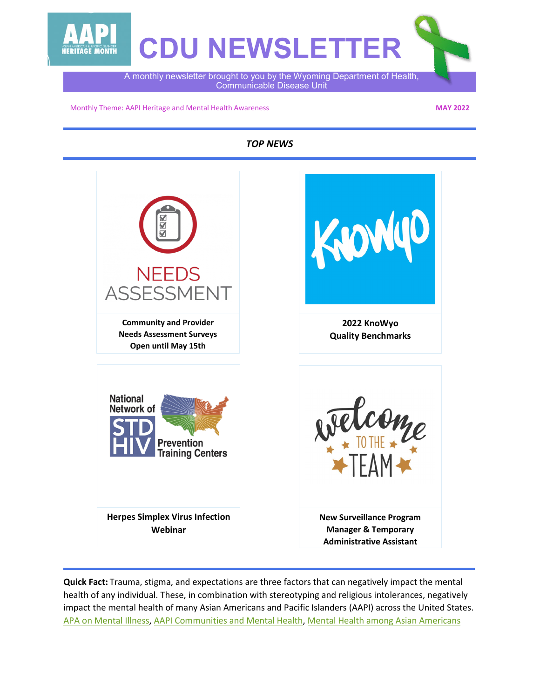

Monthly Theme: AAPI Heritage and Mental Health Awareness

**MAY 2022**

*TOP NEWS*



**Quick Fact:** Trauma, stigma, and expectations are three factors that can negatively impact the mental health of any individual. These, in combination with stereotyping and religious intolerances, negatively impact the mental health of many Asian Americans and Pacific Islanders (AAPI) across the United States. [APA on Mental Illness,](https://www.psychiatry.org/patients-families/stigma-and-discrimination) [AAPI Communities and Mental Health,](https://www.mhanational.org/issues/asian-americanpacific-islander-communities-and-mental-health) [Mental Health among Asian Americans](https://www.apa.org/pi/oema/resources/ethnicity-health/asian-american/article-mental-health)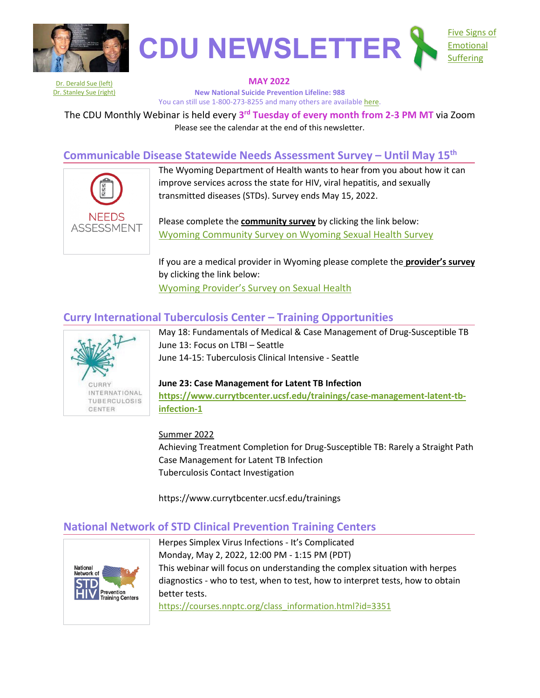



Dr. [Derald Sue \(left\)](https://www.apa.org/monitor/feb06/family) **MAY 2022 New National Suicide Prevention Lifeline: 988** You can still use 1-800-273-8255 and many others are available [here.](https://www.apa.org/topics/crisis-hotlines)

The CDU Monthly Webinar is held every **3rd Tuesday of every month from 2-3 PM MT** via Zoom Please see the calendar at the end of this newsletter.

# **Communicable Disease Statewide Needs Assessment Survey – Until May 15th**



The Wyoming Department of Health wants to hear from you about how it can improve services across the state for HIV, viral hepatitis, and sexually transmitted diseases (STDs). Survey ends May 15, 2022.

Please complete the **community survey** by clicking the link below: Wyoming Community [Survey on Wyoming Sexual Health Survey](https://healthmanagement.qualtrics.com/jfe/form/SV_6mtFzq2XvVbFp9c) 

If you are a medical provider in Wyoming please complete the **provider's survey** by clicking the link below: [Wyoming Provider's Survey on Sexual Health](https://healthmanagement.qualtrics.com/jfe/form/SV_5zfxdqYnTxUwGk6)

# **Curry International Tuberculosis Center – Training Opportunities**



May 18: Fundamentals of Medical & Case Management of Drug-Susceptible TB June 13: Focus on LTBI – Seattle June 14-15: Tuberculosis Clinical Intensive - Seattle

## **June 23: Case Management for Latent TB Infection**

**[https://www.currytbcenter.ucsf.edu/trainings/case-management-latent-tb](https://www.currytbcenter.ucsf.edu/trainings/case-management-latent-tb-infection-1)[infection-1](https://www.currytbcenter.ucsf.edu/trainings/case-management-latent-tb-infection-1)**

### Summer 2022

Achieving Treatment Completion for Drug-Susceptible TB: Rarely a Straight Path Case Management for Latent TB Infection Tuberculosis Contact Investigation

https://www.currytbcenter.ucsf.edu/trainings

## **National Network of STD Clinical Prevention Training Centers**



Herpes Simplex Virus Infections - It's Complicated Monday, May 2, 2022, 12:00 PM - 1:15 PM (PDT) This webinar will focus on understanding the complex situation with herpes diagnostics - who to test, when to test, how to interpret tests, how to obtain better tests.

[https://courses.nnptc.org/class\\_information.html?id=3351](https://courses.nnptc.org/class_information.html?id=3351)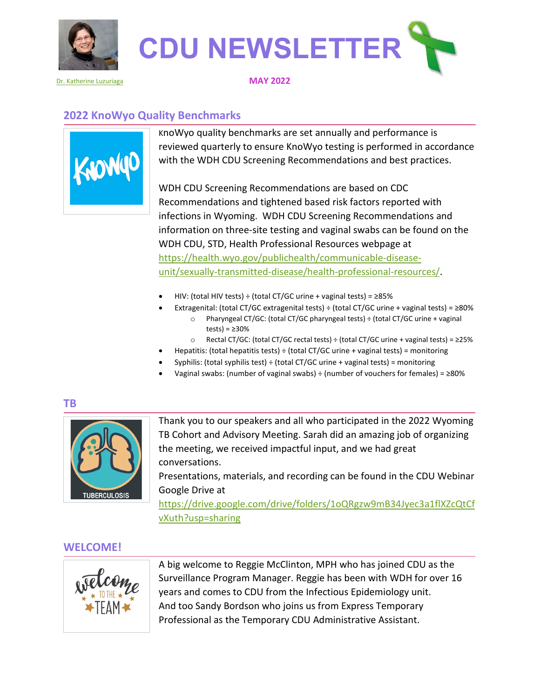



#### [Dr. Katherine Luzuriaga](https://www.umassmed.edu/news/news-archives/2013/04/luzuriaga-named-time-100/) **MAY 2022**

## **2022 KnoWyo Quality Benchmarks**



KnoWyo quality benchmarks are set annually and performance is reviewed quarterly to ensure KnoWyo testing is performed in accordance with the WDH CDU Screening Recommendations and best practices.

WDH CDU Screening Recommendations are based on CDC Recommendations and tightened based risk factors reported with infections in Wyoming. WDH CDU Screening Recommendations and information on three-site testing and vaginal swabs can be found on the WDH CDU, STD, Health Professional Resources webpage at [https://health.wyo.gov/publichealth/communicable-disease](https://health.wyo.gov/publichealth/communicable-disease-unit/sexually-transmitted-disease/health-professional-resources/)[unit/sexually-transmitted-disease/health-professional-resources/.](https://health.wyo.gov/publichealth/communicable-disease-unit/sexually-transmitted-disease/health-professional-resources/)

- HIV: (total HIV tests) ÷ (total CT/GC urine + vaginal tests) =  $\geq$ 85%
- Extragenital: (total CT/GC extragenital tests) ÷ (total CT/GC urine + vaginal tests) =  $\geq$ 80%
	- o Pharyngeal CT/GC: (total CT/GC pharyngeal tests) ÷ (total CT/GC urine + vaginal tests) =  $\geq$ 30%
	- o Rectal CT/GC: (total CT/GC rectal tests) ÷ (total CT/GC urine + vaginal tests) = ≥25%
- Hepatitis: (total hepatitis tests)  $\div$  (total CT/GC urine + vaginal tests) = monitoring
- Syphilis: (total syphilis test)  $\div$  (total CT/GC urine + vaginal tests) = monitoring
- Vaginal swabs: (number of vaginal swabs) ÷ (number of vouchers for females) =  $\geq$ 80%

## **TB**



Thank you to our speakers and all who participated in the 2022 Wyoming TB Cohort and Advisory Meeting. Sarah did an amazing job of organizing the meeting, we received impactful input, and we had great conversations.

Presentations, materials, and recording can be found in the CDU Webinar Google Drive at

[https://drive.google.com/drive/folders/1oQRgzw9mB34Jyec3a1flXZcQtCf](https://drive.google.com/drive/folders/1oQRgzw9mB34Jyec3a1flXZcQtCfvXuth?usp=sharing) [vXuth?usp=sharing](https://drive.google.com/drive/folders/1oQRgzw9mB34Jyec3a1flXZcQtCfvXuth?usp=sharing)

## **WELCOME!**



A big welcome to Reggie McClinton, MPH who has joined CDU as the Surveillance Program Manager. Reggie has been with WDH for over 16 years and comes to CDU from the Infectious Epidemiology unit. And too Sandy Bordson who joins us from Express Temporary Professional as the Temporary CDU Administrative Assistant.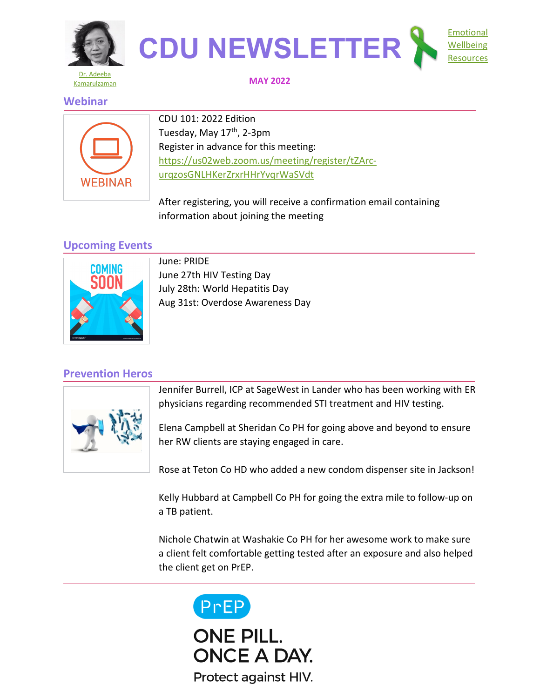



## **MAY 2022**

## **Webinar**



CDU 101: 2022 Edition Tuesday, May 17<sup>th</sup>, 2-3pm Register in advance for this meeting: [https://us02web.zoom.us/meeting/register/tZArc](https://us02web.zoom.us/meeting/register/tZArc-urqzosGNLHKerZrxrHHrYvqrWaSVdt)[urqzosGNLHKerZrxrHHrYvqrWaSVdt](https://us02web.zoom.us/meeting/register/tZArc-urqzosGNLHKerZrxrHHrYvqrWaSVdt)

After registering, you will receive a confirmation email containing information about joining the meeting

# **Upcoming Events**



June: PRIDE June 27th HIV Testing Day July 28th: World Hepatitis Day Aug 31st: Overdose Awareness Day

# **Prevention Heros**



Jennifer Burrell, ICP at SageWest in Lander who has been working with ER physicians regarding recommended STI treatment and HIV testing.

Elena Campbell at Sheridan Co PH for going above and beyond to ensure her RW clients are staying engaged in care.

Rose at Teton Co HD who added a new condom dispenser site in Jackson!

Kelly Hubbard at Campbell Co PH for going the extra mile to follow-up on a TB patient.

Nichole Chatwin at Washakie Co PH for her awesome work to make sure a client felt comfortable getting tested after an exposure and also helped the client get on PrEP.